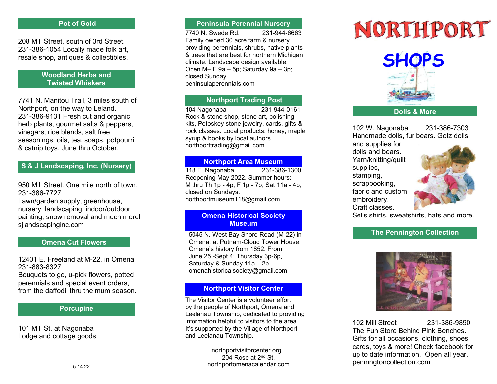## Pot of Gold

208 Mill Street, south of 3rd Street. 231-386-1054 Locally made folk art, resale shop, antiques & collectibles.

## Woodland Herbs and Twisted Whiskers

7741 N. Manitou Trail, 3 miles south of Northport, on the way to Leland. 231-386-9131 Fresh cut and organic herb plants, gourmet salts & peppers, vinegars, rice blends, salt free seasonings, oils, tea, soaps, potpourri & catnip toys. June thru October.

# S & J Landscaping, Inc. (Nursery)

950 Mill Street. One mile north of town. 231-386-7727

Lawn/garden supply, greenhouse, nursery, landscaping, indoor/outdoor painting, snow removal and much more! sjlandscapinginc.com

#### Omena Cut Flowers

12401 E. Freeland at M-22, in Omena 231-883-8327

Bouquets to go, u-pick flowers, potted perennials and special event orders, from the daffodil thru the mum season.

## Porcupine

101 Mill St. at Nagonaba Lodge and cottage goods.

#### Peninsula Perennial Nursery

7740 N. Swede Rd. 231-944-6663 Family owned 30 acre farm & nursery providing perennials, shrubs, native plants & trees that are best for northern Michigan climate. Landscape design available. Open M– F 9a – 5p; Saturday 9a – 3p; closed Sunday. peninsulaperennials.com

# Northport Trading Post

104 Nagonaba 231-944-0161 Rock & stone shop, stone art, polishing kits, Petoskey stone jewelry, cards, gifts & rock classes. Local products: honey, maple syrup & books by local authors. northporttrading@gmail.com

## Northport Area Museum

118 E. Nagonaba 231-386-1300 Reopening May 2022. Summer hours: M thru Th 1p - 4p, F 1p - 7p, Sat 11a - 4p, closed on Sundays. northportmuseum118@gmail.com

## Omena Historical Society **Museum**

 5045 N. West Bay Shore Road (M-22) in Omena, at Putnam-Cloud Tower House. Omena's history from 1852. From June 25 -Sept 4: Thursday 3p-6p, Saturday & Sunday 11a – 2p. omenahistoricalsociety@gmail.com

## Northport Visitor Center

The Visitor Center is a volunteer effort by the people of Northport, Omena and Leelanau Township, dedicated to providing information helpful to visitors to the area. It's supported by the Village of Northport and Leelanau Township.

> northportvisitorcenter.org 204 Rose at 2nd St. northportomenacalendar.com

# NORTHPORT



## Dolls & More

102 W. Nagonaba 231-386-7303 Handmade dolls, fur bears. Gotz dolls

and supplies for dolls and bears. Yarn/knitting/quilt supplies, stamping, scrapbooking, fabric and custom embroidery. Craft classes.



Sells shirts, sweatshirts, hats and more.

## The Pennington Collection



102 Mill Street 231-386-9890 The Fun Store Behind Pink Benches. Gifts for all occasions, clothing, shoes, cards, toys & more! Check facebook for up to date information. Open all year. penningtoncollection.com